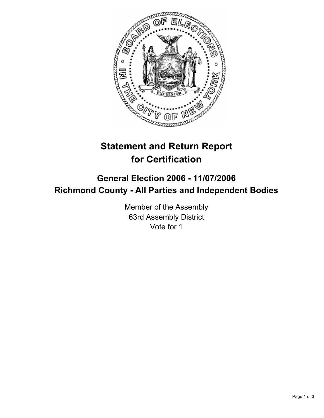

# **Statement and Return Report for Certification**

## **General Election 2006 - 11/07/2006 Richmond County - All Parties and Independent Bodies**

Member of the Assembly 63rd Assembly District Vote for 1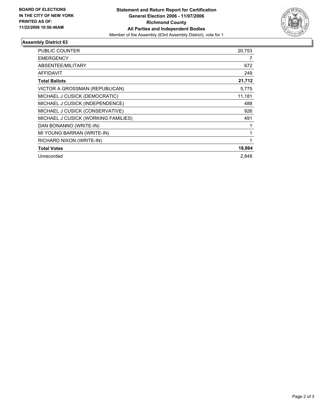

### **Assembly District 63**

| <b>PUBLIC COUNTER</b>               | 20,753 |
|-------------------------------------|--------|
| <b>EMERGENCY</b>                    |        |
| ABSENTEE/MILITARY                   | 672    |
| <b>AFFIDAVIT</b>                    | 249    |
| <b>Total Ballots</b>                | 21,712 |
| VICTOR A GROSSMAN (REPUBLICAN)      | 5,775  |
| MICHAEL J CUSICK (DEMOCRATIC)       | 11,181 |
| MICHAEL J CUSICK (INDEPENDENCE)     | 488    |
| MICHAEL J CUSICK (CONSERVATIVE)     | 926    |
| MICHAEL J CUSICK (WORKING FAMILIES) | 491    |
| DAN BONANNO (WRITE-IN)              |        |
| MI YOUNG BARRAN (WRITE-IN)          |        |
| RICHARD NIXON (WRITE-IN)            |        |
| <b>Total Votes</b>                  | 18,864 |
| Unrecorded                          | 2.848  |